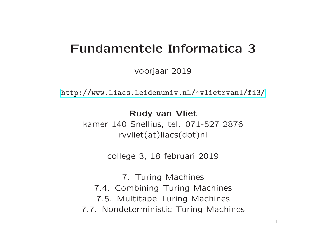## Fundamentele Informatica 3

voorjaar 2019

[http://www.liacs.leidenuniv.nl/](http://www.liacs.leidenuniv.nl/~vlietrvan1/fi3/) ~vlietrvan1/fi3/

Rudy van Vliet

kamer 140 Snellius, tel. 071-527 2876 rvvliet(at)liacs(dot)nl

college 3, 18 februari 2019

7. Turing Machines 7.4. Combining Turing Machines 7.5. Multitape Turing Machines 7.7. Nondeterministic Turing Machines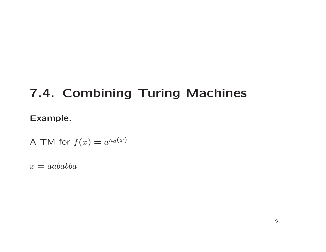# 7.4. Combining Turing Machines

#### Example.

A TM for 
$$
f(x) = a^{n_a(x)}
$$

 $x = aababba$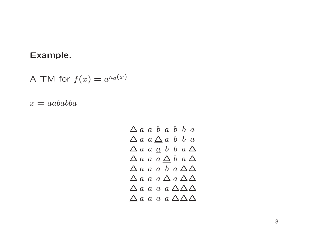## Example.

A TM for  $f(x) = a^{n_a(x)}$ 

 $x = aababba$ 

$$
\begin{array}{ccccccccc}\n\Delta & a & a & b & a & b & b & a \\
\Delta & a & a & \Delta & a & b & b & a \\
\Delta & a & a & a & b & b & a \\
\Delta & a & a & a & \Delta & b & a \\
\Delta & a & a & a & b & a \\
\Delta & a & a & a & \Delta & \Delta \\
\Delta & a & a & a & a & \Delta & \Delta \\
\Delta & a & a & a & a & \Delta & \Delta & \Delta \\
\Delta & a & a & a & a & \Delta & \Delta & \Delta\n\end{array}
$$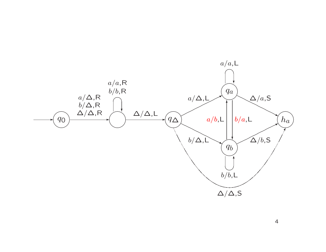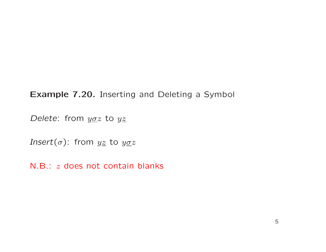## Example 7.20. Inserting and Deleting <sup>a</sup> Symbol

Delete: from  $y\sigma z$  to  $yz$ 

*Insert*( $\sigma$ ): from  $yz$  to  $yzz$ 

N.B.: <sup>z</sup> does not contain blanks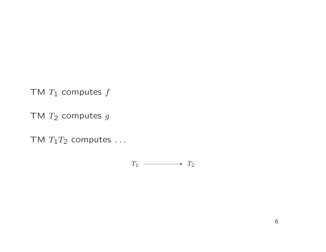TM  $T_1$  computes  $f$ 

TM  $T_2$  computes  $g$ 

TM  $T_1T_2$  computes ...

$$
T_1 \longrightarrow T_2
$$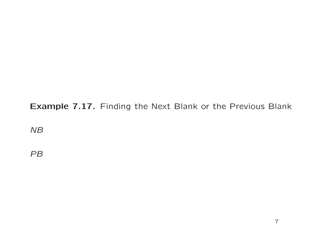## Example 7.17. Finding the Next Blank or the Previous Blank

NB

PB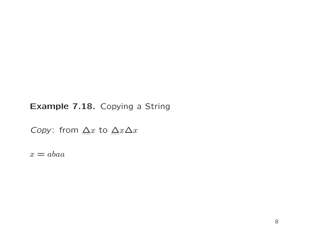## Example 7.18. Copying a String

Copy: from  $\Delta x$  to  $\Delta x \Delta x$ 

 $x = abaa$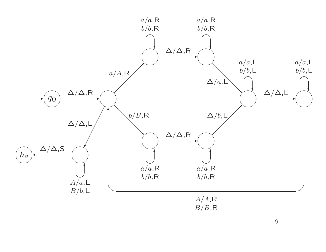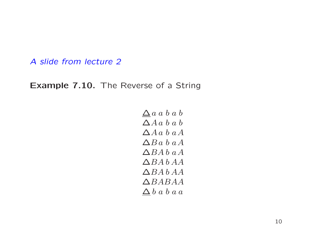A slide from lecture 2

Example 7.10. The Reverse of a String

 $\Delta a$  a b a b  $\Delta A a b a b$  $\Delta A a b a A$  $\Delta Ba \; b \; aA$  $\triangle BAb$  a A  $\triangle B A b A A$  $\triangle$ BA b AA  $\triangle BABA$  $\Delta b$  a b a a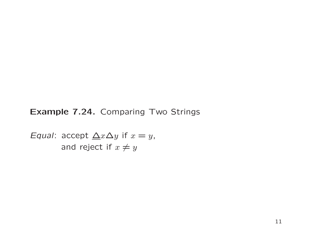Example 7.24. Comparing Two Strings

Equal: accept  $\triangle x \triangle y$  if  $x = y$ , and reject if  $x \neq y$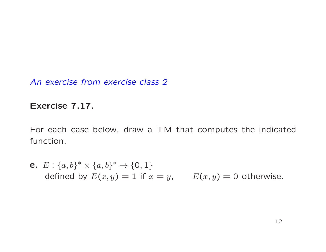An exercise from exercise class 2

### Exercise 7.17.

For each case below, draw a TM that computes the indicated function.

e.  $E: \{a,b\}^* \times \{a,b\}^* \rightarrow \{\textsf{0},\textsf{1}\}$ defined by  $E(x,y) = 1$  if  $x = y$ ,  $E(x,y) = 0$  otherwise.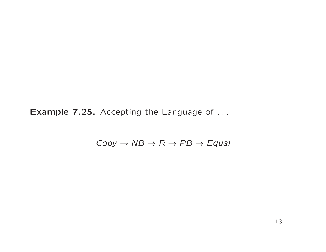Example 7.25. Accepting the Language of ...

 $Copy \rightarrow NB \rightarrow R \rightarrow PB \rightarrow Equal$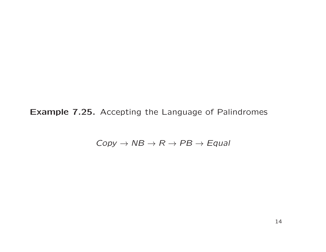Example 7.25. Accepting the Language of Palindromes

 $Copy \rightarrow NB \rightarrow R \rightarrow PB \rightarrow Equal$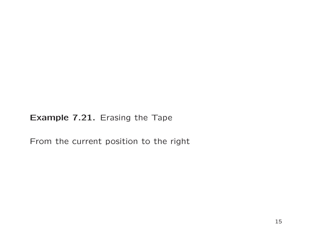Example 7.21. Erasing the Tape

From the current position to the right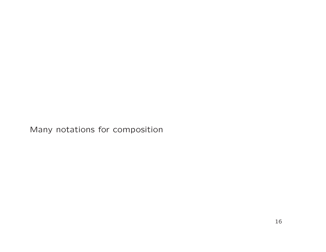Many notations for composition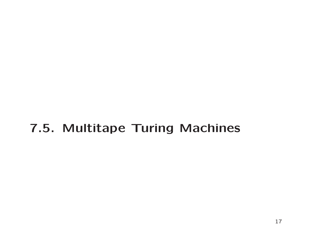## 7.5. Multitape Turing Machines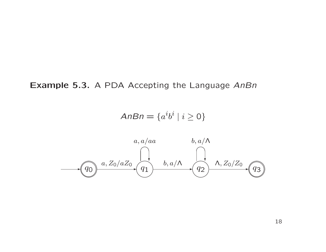Example 5.3. A PDA Accepting the Language AnBn

$$
AnBn = \{a^i b^i \mid i \ge 0\}
$$

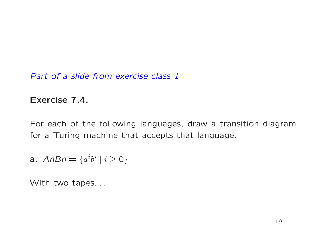Part of a slide from exercise class 1

### Exercise 7.4.

For each of the following languages, draw a transition diagram for <sup>a</sup> Turing machine that accepts that language.

$$
a. \text{ } AnBn = \{a^i b^i \mid i \ge 0\}
$$

With two tapes...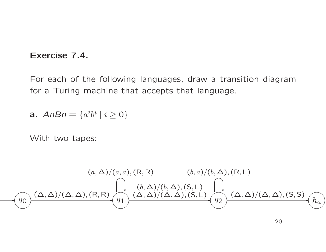#### Exercise 7.4.

For each of the following languages, draw a transition diagram for <sup>a</sup> Turing machine that accepts that language.

$$
a. \text{ } AnBn = \{a^i b^i \mid i \ge 0\}
$$

With two tapes:

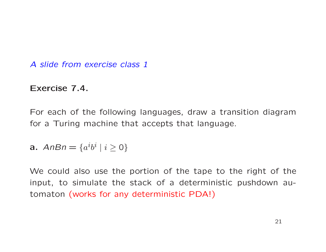A slide from exercise class 1

### Exercise 7.4.

For each of the following languages, draw a transition diagram for <sup>a</sup> Turing machine that accepts that language.

$$
a. \text{ } AnBn = \{a^i b^i \mid i \ge 0\}
$$

We could also use the portion of the tape to the right of the input, to simulate the stack of a deterministic pushdown automaton (works for any deterministic PDA!)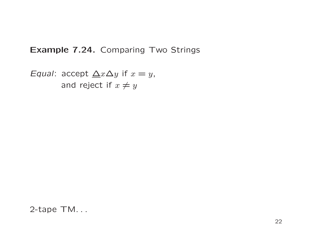### Example 7.24. Comparing Two Strings

Equal: accept  $\Delta x \Delta y$  if  $x = y$ , and reject if  $x \neq y$ 

2-tape TM. . .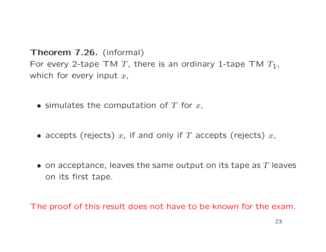Theorem 7.26. (informal) For every 2-tape TM T, there is an ordinary 1-tape TM  $T_1$ , which for every input  $x$ ,

- simulates the computation of  $T$  for  $x$ ,
- accepts (rejects)  $x$ , if and only if  $T$  accepts (rejects)  $x$ ,
- $\bullet$  on acceptance, leaves the same output on its tape as  $T$  leaves on its first tape.

The proof of this result does not have to be known for the exam.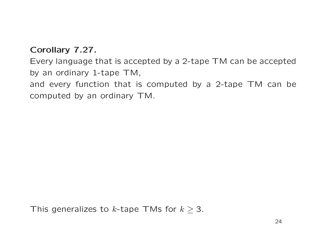## Corollary 7.27.

Every language that is accepted by a 2-tape TM can be accepted by an ordinary 1-tape TM,

and every function that is computed by a 2-tape TM can be computed by an ordinary TM.

```
This generalizes to k-tape TMs for k \geq 3.
```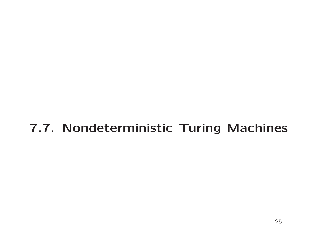## 7.7. Nondeterministic Turing Machines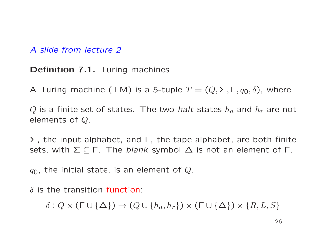A slide from lecture 2

Definition 7.1. Turing machines

A Turing machine (TM) is a 5-tuple  $T = (Q, \Sigma, \Gamma, q_0, \delta)$ , where

Q is a finite set of states. The two *halt* states  $h_a$  and  $h_r$  are not elements of Q.

 $\Sigma$ , the input alphabet, and  $\Gamma$ , the tape alphabet, are both finite sets, with  $\Sigma \subseteq \Gamma$ . The *blank* symbol  $\Delta$  is not an element of  $\Gamma$ .

 $q_0$ , the initial state, is an element of Q.

 $\delta$  is the transition function:

 $\delta$ :  $Q \times (\Gamma \cup {\Delta}) \rightarrow (Q \cup \{h_a, h_r\}) \times (\Gamma \cup {\Delta}) \times \{R, L, S\}$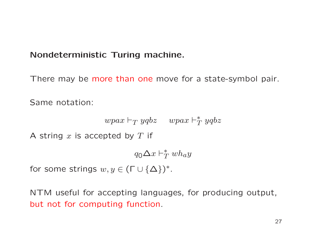## Nondeterministic Turing machine.

There may be more than one move for a state-symbol pair.

Same notation:

$$
wpax \vdash_T yqbz \quad wpa x \vdash_T^* yqbz
$$

A string  $x$  is accepted by  $T$  if

 $q_0 \Delta x \vdash_T^* wh_ay$ 

for some strings  $w, y \in (\Gamma \cup \{\Delta\})^*.$ 

NTM useful for accepting languages, for producing output, but not for computing function.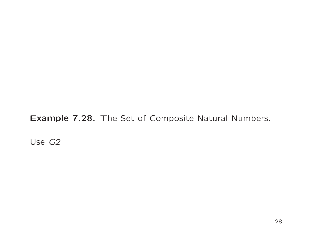Example 7.28. The Set of Composite Natural Numbers.

Use G2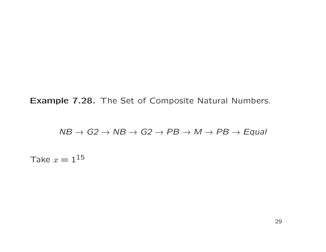Example 7.28. The Set of Composite Natural Numbers.

 $NB \rightarrow G2 \rightarrow NB \rightarrow G2 \rightarrow PB \rightarrow M \rightarrow PB \rightarrow Equal$ 

Take  $x = 1^{15}$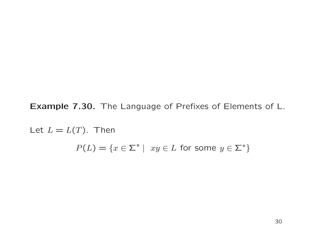Example 7.30. The Language of Prefixes of Elements of L.

Let  $L = L(T)$ . Then  $P(L) = \{x \in \Sigma^* \mid xy \in L \text{ for some } y \in \Sigma^*\}$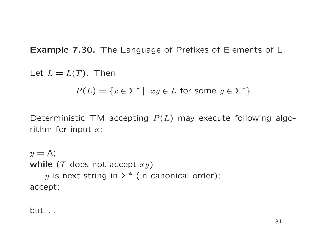Example 7.30. The Language of Prefixes of Elements of L.

Let  $L = L(T)$ . Then

$$
P(L) = \{ x \in \Sigma^* \mid xy \in L \text{ for some } y \in \Sigma^* \}
$$

Deterministic TM accepting  $P(L)$  may execute following algorithm for input  $x$ :

 $y = \Lambda$ ; while  $(T$  does not accept  $xy)$ y is next string in  $\Sigma^*$  (in canonical order); accept;

but. . .